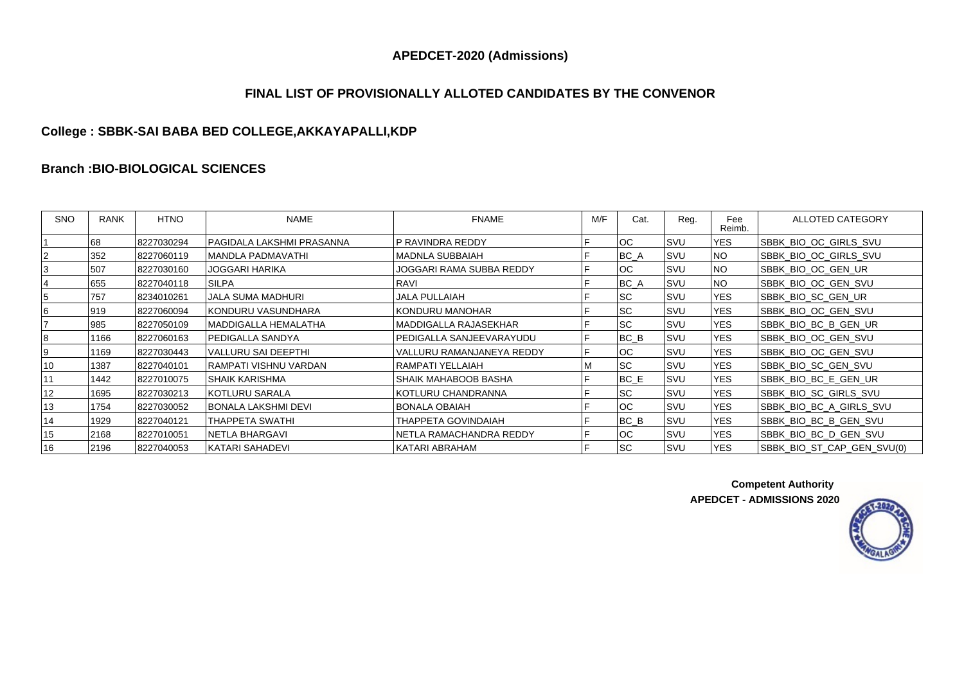# **FINAL LIST OF PROVISIONALLY ALLOTED CANDIDATES BY THE CONVENOR**

# **College : SBBK-SAI BABA BED COLLEGE,AKKAYAPALLI,KDP**

#### **Branch :BIO-BIOLOGICAL SCIENCES**

| <b>SNO</b> | <b>RANK</b> | <b>HTNO</b> | <b>NAME</b>               | <b>FNAME</b>              | M/F | Cat.      | Reg. | Fee<br>Reimb. | ALLOTED CATEGORY           |
|------------|-------------|-------------|---------------------------|---------------------------|-----|-----------|------|---------------|----------------------------|
|            | 68          | 8227030294  | PAGIDALA LAKSHMI PRASANNA | IP RAVINDRA REDDY         | F   | loc       | SVU  | <b>YES</b>    | SBBK_BIO_OC_GIRLS_SVU      |
|            | 352         | 8227060119  | IMANDLA PADMAVATHI        | IMADNLA SUBBAIAH          | ιF. | BC_A      | SVU  | <b>NO</b>     | SBBK BIO OC GIRLS SVU      |
|            | 507         | 8227030160  | JOGGARI HARIKA            | JOGGARI RAMA SUBBA REDDY  | F   | loc.      | SVU  | <b>NO</b>     | SBBK_BIO_OC_GEN_UR         |
|            | 655         | 8227040118  | SILPA                     | RAVI                      | F   | $BC_A$    | SVU  | <b>NO</b>     | SBBK_BIO_OC_GEN_SVU        |
|            | 757         | 8234010261  | <b>JALA SUMA MADHURI</b>  | <b>JALA PULLAIAH</b>      |     | <b>SC</b> | SVU  | <b>YES</b>    | SBBK BIO SC GEN UR         |
|            | 919         | 8227060094  | KONDURU VASUNDHARA        | KONDURU MANOHAR           | E   | <b>SC</b> | SVU  | <b>YES</b>    | SBBK_BIO_OC_GEN_SVU        |
|            | 985         | 8227050109  | MADDIGALLA HEMALATHA      | MADDIGALLA RAJASEKHAR     | F   | <b>SC</b> | SVU  | <b>YES</b>    | SBBK_BIO_BC_B_GEN_UR       |
|            | 1166        | 8227060163  | PEDIGALLA SANDYA          | PEDIGALLA SANJEEVARAYUDU  | F   | $BC$ $B$  | SVU  | <b>YES</b>    | SBBK_BIO_OC_GEN_SVU        |
|            | 1169        | 8227030443  | VALLURU SAI DEEPTHI       | VALLURU RAMANJANEYA REDDY | F   | <b>OC</b> | ISVU | <b>YES</b>    | SBBK BIO OC GEN SVU        |
| 10         | 1387        | 8227040101  | RAMPATI VISHNU VARDAN     | RAMPATI YELLAIAH          | м   | <b>SC</b> | SVU  | <b>YES</b>    | SBBK_BIO_SC_GEN_SVU        |
|            | 1442        | 8227010075  | ISHAIK KARISHMA           | ISHAIK MAHABOOB BASHA     | E   | BC_E      | SVU  | <b>YES</b>    | SBBK_BIO_BC_E_GEN_UR       |
| 12         | 1695        | 8227030213  | KOTLURU SARALA            | IKOTLURU CHANDRANNA       | Е   | <b>SC</b> | SVU  | <b>YES</b>    | SBBK_BIO_SC_GIRLS_SVU      |
| 13         | 1754        | 8227030052  | BONALA LAKSHMI DEVI       | IBONALA OBAIAH            |     | loc.      | SVU  | <b>YES</b>    | SBBK_BIO_BC_A_GIRLS_SVU    |
| 14         | 1929        | 8227040121  | THAPPETA SWATHI           | THAPPETA GOVINDAIAH       |     | $BC$ $B$  | SVU  | <b>YES</b>    | SBBK_BIO_BC_B_GEN_SVU      |
| 15         | 2168        | 8227010051  | INETLA BHARGAVI           | INETLA RAMACHANDRA REDDY  | Е   | loc.      | SVU  | <b>YES</b>    | SBBK BIO BC D GEN SVU      |
| 16         | 2196        | 8227040053  | KATARI SAHADEVI           | KATARI ABRAHAM            | F   | Isc       | SVU  | <b>YES</b>    | SBBK BIO ST CAP GEN SVU(0) |

**Competent Authority APEDCET - ADMISSIONS 2020**

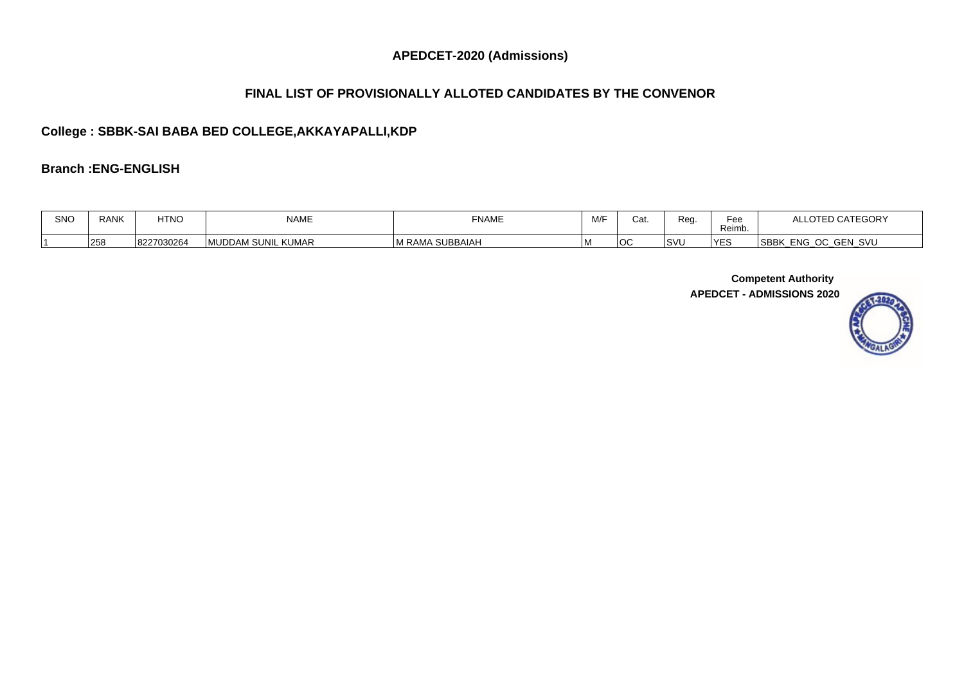# **FINAL LIST OF PROVISIONALLY ALLOTED CANDIDATES BY THE CONVENOR**

# **College : SBBK-SAI BABA BED COLLEGE,AKKAYAPALLI,KDP**

#### **Branch :ENG-ENGLISH**

| SNO | <b>RANK</b> | <b>HTNO</b> | <b>NAME</b>                          | <b>FNAME</b>                | M/F | Cat. | Rec        | Fee<br>Reimb. | $\lambda$<br>TEGUR                                      |
|-----|-------------|-------------|--------------------------------------|-----------------------------|-----|------|------------|---------------|---------------------------------------------------------|
|     | 258         | 8227030264  | <b>KUMAR</b><br><b>IMUDDAM SUNIL</b> | SUBBAIAH<br>1 R AI<br>i IVI |     | IO0  | $\sqrt{2}$ |               | <sup>I</sup> SBBI<br>SVU<br><b>ENG</b><br>$\sim$<br>ັບບ |

**Competent Authority** 

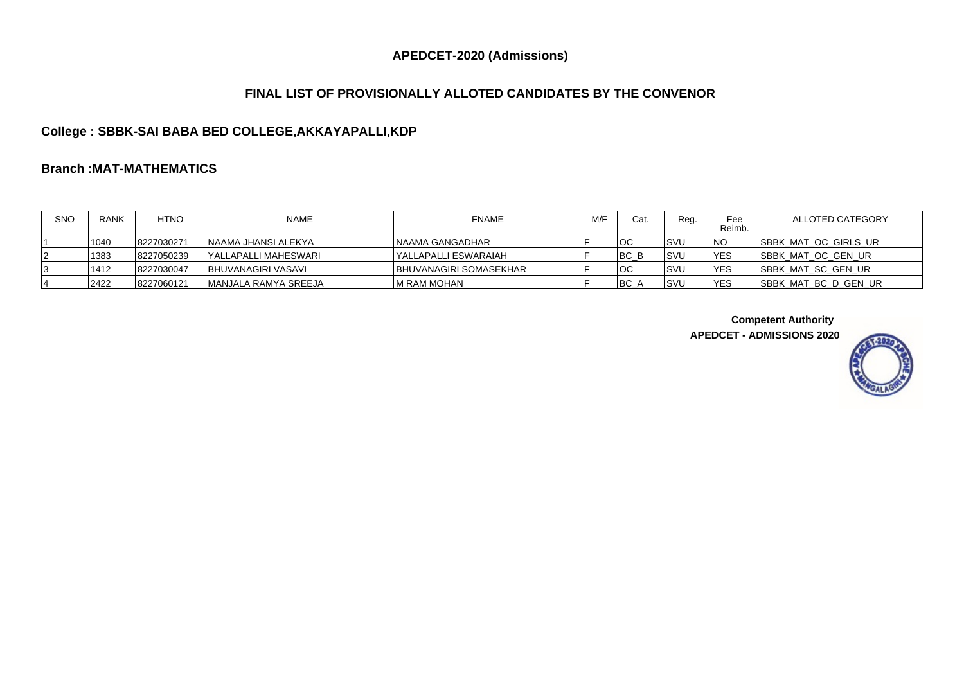### **FINAL LIST OF PROVISIONALLY ALLOTED CANDIDATES BY THE CONVENOR**

# **College : SBBK-SAI BABA BED COLLEGE,AKKAYAPALLI,KDP**

# **Branch :MAT-MATHEMATICS**

| <b>SNO</b> | <b>RANK</b> | <b>HTNO</b> | <b>NAME</b>           | <b>FNAME</b>                   | M/F | Cat.     | Reg. | Fee<br>Reimb. | ALLOTED CATEGORY             |
|------------|-------------|-------------|-----------------------|--------------------------------|-----|----------|------|---------------|------------------------------|
|            | 1040        | 8227030271  | INAAMA JHANSI ALEKYA  | INAAMA GANGADHAR               |     | חחו<br>◡ | lsvu | <b>INO</b>    | <b>ISBBK MAT OC GIRLS UR</b> |
| 12         | 1383        | 8227050239  | YALLAPALLI MAHESWARI  | IYALLAPALLI ESWARAIAH          |     | IBC B    | lsvu | <b>IYES</b>   | <b>ISBBK MAT OC GEN UR</b>   |
|            | 1412        | 8227030047  | IBHUVANAGIRI VASAVI   | <b>IBHUVANAGIRI SOMASEKHAR</b> |     | חחו<br>◡ | lsvl | <b>IYES</b>   | <b>ISBBK MAT SC GEN UR</b>   |
|            | 2422        | 8227060121  | IMANJALA RAMYA SREEJA | IM RAM MOHAN                   |     | BC A     | Isvu | <b>IYES</b>   | ISBBK MAT BC D GEN UR        |

**Competent Authority** 

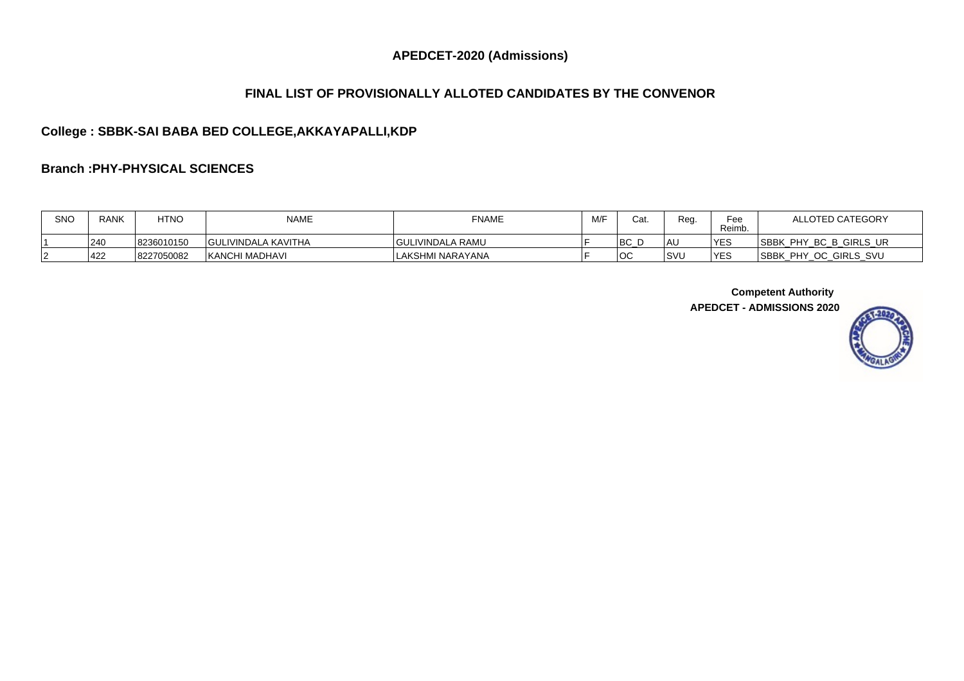### **FINAL LIST OF PROVISIONALLY ALLOTED CANDIDATES BY THE CONVENOR**

# **College : SBBK-SAI BABA BED COLLEGE,AKKAYAPALLI,KDP**

#### **Branch :PHY-PHYSICAL SCIENCES**

| <b>SNC</b> | <b>RANK</b> | <b>HTNO</b> | <b>NAME</b>                | <b>FNAME</b>            | M/F | Cat       | Reg.        | Fee<br>Reimb. | ALLOTED CATEGORY                              |
|------------|-------------|-------------|----------------------------|-------------------------|-----|-----------|-------------|---------------|-----------------------------------------------|
|            | 240         | 8236010150  | <b>GULIVINDALA KAVITHA</b> | <b>GULIVINDALA RAMU</b> |     | IDC<br>DU | l AU        | <b>YES</b>    | <b>SBBK</b><br>GIRLS UR<br>BC B<br><b>PHY</b> |
|            | 422         | 8227050082  | <b>KANCHI MADHAVI</b>      | LAKSHMI NARAYANA        |     | nr<br>U   | <b>ISVI</b> | <b>VES</b>    | <b>ISBBK</b><br>. PHY<br>OC GIRLS SVU         |

**Competent Authority**